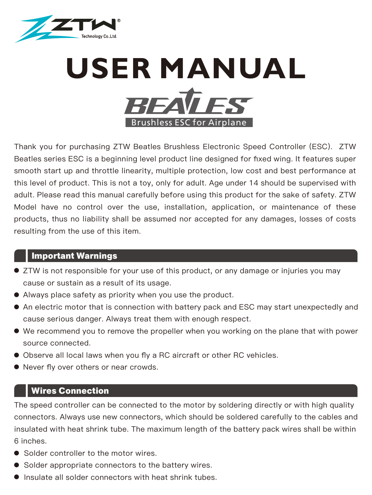

# **USER MANUAL REAVES** Brushless ESC for Airplane

Thank you for purchasing ZTW Beatles Brushless Electronic Speed Controller (ESC). ZTW Beatles series ESC is a beginning level product line designed for fixed wing. It features super smooth start up and throttle linearity, multiple protection, low cost and best performance at this level of product. This is not a toy, only for adult. Age under 14 should be supervised with adult. Please read this manual carefully before using this product for the sake of safety. ZTW Model have no control over the use, installation, application, or maintenance of these products, thus no liability shall be assumed nor accepted for any damages, losses of costs resulting from the use of this item.

# **Important Warnings**

- ZTW is not responsible for your use of this product, or any damage or injuries you may cause or sustain as a result of its usage.
- Always place safety as priority when you use the product.
- An electric motor that is connection with battery pack and ESC may start unexpectedly and cause serious danger. Always treat them with enough respect.
- We recommend you to remove the propeller when you working on the plane that with power source connected.
- Observe all local laws when you fly a RC aircraft or other RC vehicles.
- Never fly over others or near crowds.

# **Wires Connection**

The speed controller can be connected to the motor by soldering directly or with high quality connectors. Always use new connectors, which should be soldered carefully to the cables and insulated with heat shrink tube. The maximum length of the battery pack wires shall be within 6 inches.

- Solder controller to the motor wires.
- Solder appropriate connectors to the battery wires.
- Insulate all solder connectors with heat shrink tubes.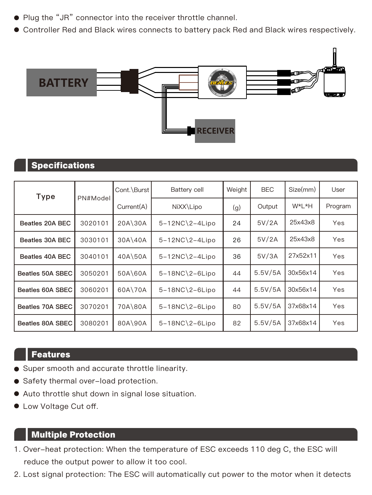- Plug the "JR" connector into the receiver throttle channel.
- Controller Red and Black wires connects to battery pack Red and Black wires respectively.



# **Specifications**

| Type             | PN#Model | Cont.\Burst | Battery cell                   | Weight | <b>BEC</b> | Size(mm) | User    |
|------------------|----------|-------------|--------------------------------|--------|------------|----------|---------|
|                  |          | Current(A)  | NiXX\Lipo                      | (g)    | Output     | W*L*H    | Program |
| Beatles 20A BEC  | 3020101  | 20A\30A     | $5-12NC$ ) <sub>2-4</sub> Lipo | 24     | 5V/2A      | 25x43x8  | Yes     |
| Beatles 30A BEC  | 3030101  | 30A\40A     | $5-12NC$ ) <sub>2-4</sub> Lipo | 26     | 5V/2A      | 25x43x8  | Yes     |
| Beatles 40A BEC  | 3040101  | 40A\50A     | $5-12NC$ <sup>2-4</sup> Lipo   | 36     | 5V/3A      | 27x52x11 | Yes     |
| Beatles 50A SBEC | 3050201  | 50A\60A     | $5-18NC$ ) <sub>2-6</sub> Lipo | 44     | 5.5V/5A    | 30x56x14 | Yes     |
| Beatles 60A SBEC | 3060201  | 60A\70A     | $5-18NC$ ) <sub>2-6</sub> Lipo | 44     | 5.5V/5A    | 30x56x14 | Yes     |
| Beatles 70A SBEC | 3070201  | 70A\80A     | $5-18NC$ ) <sub>2-6</sub> Lipo | 80     | 5.5V/5A    | 37x68x14 | Yes     |
| Beatles 80A SBEC | 3080201  | 80A\90A     | $5-18NC$ ) <sub>2-6</sub> Lipo | 82     | 5.5V/5A    | 37x68x14 | Yes     |

# **Features**

- Super smooth and accurate throttle linearity.
- Safety thermal over-load protection.
- Auto throttle shut down in signal lose situation.
- $\bullet$  Low Voltage Cut off.

# **Multiple Protection**

- 1. Over-heat protection: When the temperature of ESC exceeds 110 deg C, the ESC will reduce the output power to allow it too cool.
- 2. Lost signal protection: The ESC will automatically cut power to the motor when it detects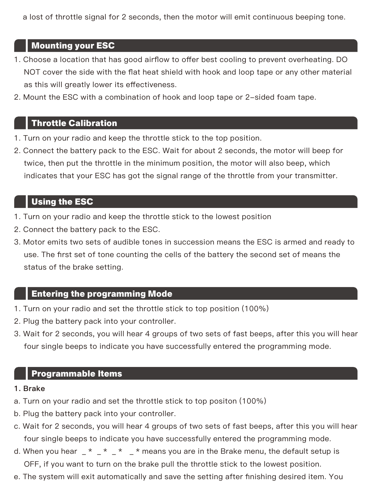a lost of throttle signal for 2 seconds, then the motor will emit continuous beeping tone.

# **Mounting your ESC**

- 1. Choose a location that has good airflow to offer best cooling to prevent overheating. DO NOT cover the side with the flat heat shield with hook and loop tape or any other material as this will greatly lower its effectiveness.
- 2. Mount the ESC with a combination of hook and loop tape or 2-sided foam tape.

# **Throttle Calibration**

- 1. Turn on your radio and keep the throttle stick to the top position.
- 2. Connect the battery pack to the ESC. Wait for about 2 seconds, the motor will beep for twice, then put the throttle in the minimum position, the motor will also beep, which indicates that your ESC has got the signal range of the throttle from your transmitter.

# **Using the ESC**

- 1. Turn on your radio and keep the throttle stick to the lowest position
- 2. Connect the battery pack to the ESC.
- 3. Motor emits two sets of audible tones in succession means the ESC is armed and ready to use. The first set of tone counting the cells of the battery the second set of means the status of the brake setting.

# **Entering the programming Mode**

- 1. Turn on your radio and set the throttle stick to top position (100%)
- 2. Plug the battery pack into your controller.
- 3. Wait for 2 seconds, you will hear 4 groups of two sets of fast beeps, after this you will hear four single beeps to indicate you have successfully entered the programming mode.

# **Programmable Items**

#### 1. Brake

- a. Turn on your radio and set the throttle stick to top positon (100%)
- b. Plug the battery pack into your controller.
- c. Wait for 2 seconds, you will hear 4 groups of two sets of fast beeps, after this you will hear four single beeps to indicate you have successfully entered the programming mode.
- d. When you hear  $\frac{1}{2}$  \*  $\frac{1}{2}$  \*  $\frac{1}{2}$  \* means you are in the Brake menu, the default setup is OFF, if you want to turn on the brake pull the throttle stick to the lowest position.
- e. The system will exit automatically and save the setting after finishing desired item. You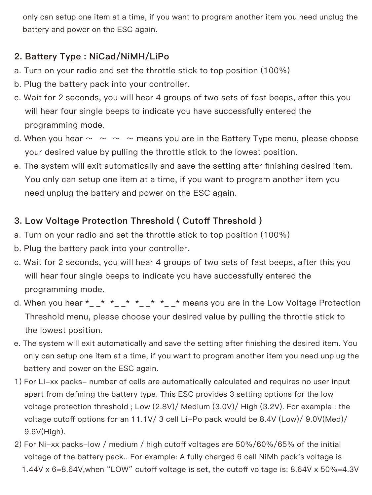only can setup one item at a time, if you want to program another item you need unplug the battery and power on the ESC again.

# 2. Battery Type : NiCad/NiMH/LiPo

- a. Turn on your radio and set the throttle stick to top position (100%)
- b. Plug the battery pack into your controller.
- c. Wait for 2 seconds, you will hear 4 groups of two sets of fast beeps, after this you will hear four single beeps to indicate you have successfully entered the programming mode.
- d. When you hear  $\sim \sim \sim \sim$  means you are in the Battery Type menu, please choose your desired value by pulling the throttle stick to the lowest position.
- e. The system will exit automatically and save the setting after finishing desired item. You only can setup one item at a time, if you want to program another item you need unplug the battery and power on the ESC again.

# 3. Low Voltage Protection Threshold ( Cutoff Threshold )

- a. Turn on your radio and set the throttle stick to top position (100%)
- b. Plug the battery pack into your controller.
- c. Wait for 2 seconds, you will hear 4 groups of two sets of fast beeps, after this you will hear four single beeps to indicate you have successfully entered the programming mode.
- d. When you hear  $*_{-}$  \*  $*_{-}$  \*  $*_{-}$  \*  $*_{-}$  \* means you are in the Low Voltage Protection Threshold menu, please choose your desired value by pulling the throttle stick to the lowest position.
- e. The system will exit automatically and save the setting after finishing the desired item. You only can setup one item at a time, if you want to program another item you need unplug the battery and power on the ESC again.
- 1) For Li-xx packs- number of cells are automatically calculated and requires no user input apart from defining the battery type. This ESC provides 3 setting options for the low voltage protection threshold ; Low (2.8V)/ Medium (3.0V)/ High (3.2V). For example : the voltage cutoff options for an 11.1V/ 3 cell Li-Po pack would be 8.4V (Low)/ 9.0V(Med)/ 9.6V(High).
- 2) For Ni-xx packs-low / medium / high cutoff voltages are 50%/60%/65% of the initial voltage of the battery pack.. For example: A fully charged 6 cell NiMh pack's voltage is 1.44V x 6=8.64V,when "LOW" cutoff voltage is set, the cutoff voltage is: 8.64V x 50%=4.3V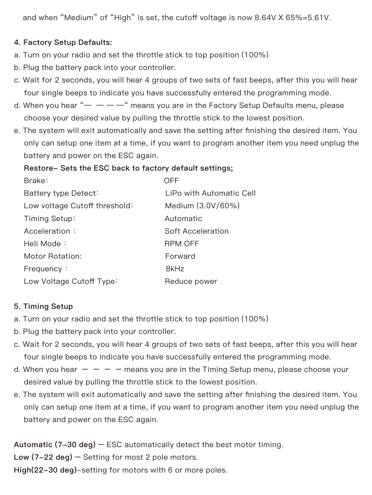and when "Medium" of "High" is set, the cutoff voltage is now 8.64V X 65%=5.61V.

### 4. Factory Setup Defaults:

- a. Turn on your radio and set the throttle stick to top position (100%)
- b. Plug the battery pack into your controller.
- c. Wait for 2 seconds, you will hear 4 groups of two sets of fast beeps, after this you will hear four single beeps to indicate you have successfully entered the programming mode.
- d. When you hear " $-$ " means you are in the Factory Setup Defaults menu, please choose your desired value by pulling the throttle stick to the lowest position.
- e. The system will exit automatically and save the setting after finishing the desired item. You only can setup one item at a time, if you want to program another item you need unplug the battery and power on the ESC again.

#### Restore- Sets the ESC back to factory default settings;

| Brake:                        | OFF                      |
|-------------------------------|--------------------------|
| Battery type Detect:          | LiPo with Automatic Cell |
| Low voltage Cutoff threshold: | Medium (3.0V/60%)        |
| Timing Setup:                 | Automatic                |
| Acceleration:                 | Soft Acceleration        |
| Heli Mode:                    | <b>RPM OFF</b>           |
| Motor Rotation:               | Forward                  |
| Frequency:                    | 8kHz                     |
| Low Voltage Cutoff Type:      | Reduce power             |

#### 5. Timing Setup

- a. Turn on your radio and set the throttle stick to top position (100%)
- b. Plug the battery pack into your controller.
- c. Wait for 2 seconds, you will hear 4 groups of two sets of fast beeps, after this you will hear four single beeps to indicate you have successfully entered the programming mode.
- d. When you hear  $- -$  means you are in the Timing Setup menu, please choose your desired value by pulling the throttle stick to the lowest position.
- e. The system will exit automatically and save the setting after finishing the desired item. You only can setup one item at a time, if you want to program another item you need unplug the battery and power on the ESC again.

Automatic (7-30 deg) – ESC automatically detect the best motor timing.

Low  $(7-22 \text{ deg})$  – Setting for most 2 pole motors.

High(22-30 deg)-setting for motors with 6 or more poles.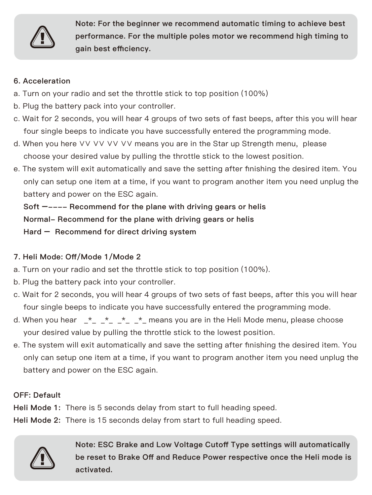

Note: For the beginner we recommend automatic timing to achieve best performance. For the multiple poles motor we recommend high timing to gain best efficiency.

#### 6. Acceleration

- a. Turn on your radio and set the throttle stick to top position (100%)
- b. Plug the battery pack into your controller.
- c. Wait for 2 seconds, you will hear 4 groups of two sets of fast beeps, after this you will hear four single beeps to indicate you have successfully entered the programming mode.
- d. When you here ∨∨ ∨∨ ∨∨ ∨∨ means you are in the Star up Strength menu, please choose your desired value by pulling the throttle stick to the lowest position.
- e. The system will exit automatically and save the setting after finishing the desired item. You only can setup one item at a time, if you want to program another item you need unplug the battery and power on the ESC again.

 Soft –---- Recommend for the plane with driving gears or helis Normal- Recommend for the plane with driving gears or helis Hard – Recommend for direct driving system

### 7. Heli Mode: Off/Mode 1/Mode 2

- a. Turn on your radio and set the throttle stick to top position (100%).
- b. Plug the battery pack into your controller.
- c. Wait for 2 seconds, you will hear 4 groups of two sets of fast beeps, after this you will hear four single beeps to indicate you have successfully entered the programming mode.
- d. When you hear  $\star \star \star \star$  means you are in the Heli Mode menu, please choose your desired value by pulling the throttle stick to the lowest position.
- e. The system will exit automatically and save the setting after finishing the desired item. You only can setup one item at a time, if you want to program another item you need unplug the battery and power on the ESC again.

#### OFF: Default

Heli Mode 1: There is 5 seconds delay from start to full heading speed.

Heli Mode 2: There is 15 seconds delay from start to full heading speed.



Note: ESC Brake and Low Voltage Cutoff Type settings will automatically be reset to Brake Off and Reduce Power respective once the Heli mode is activated.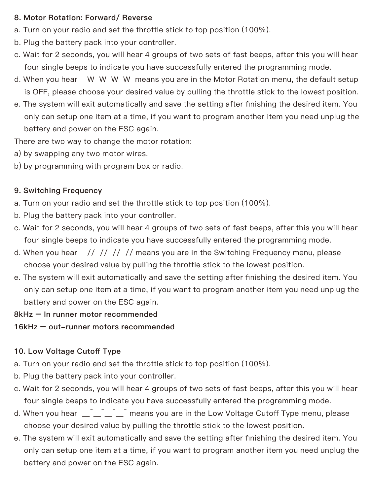#### 8. Motor Rotation: Forward/ Reverse

- a. Turn on your radio and set the throttle stick to top position (100%).
- b. Plug the battery pack into your controller.
- c. Wait for 2 seconds, you will hear 4 groups of two sets of fast beeps, after this you will hear four single beeps to indicate you have successfully entered the programming mode.
- d. When you hear W W W W means you are in the Motor Rotation menu, the default setup is OFF, please choose your desired value by pulling the throttle stick to the lowest position.
- e. The system will exit automatically and save the setting after finishing the desired item. You only can setup one item at a time, if you want to program another item you need unplug the battery and power on the ESC again.

There are two way to change the motor rotation:

- a) by swapping any two motor wires.
- b) by programming with program box or radio.

#### 9. Switching Frequency

- a. Turn on your radio and set the throttle stick to top position (100%).
- b. Plug the battery pack into your controller.
- c. Wait for 2 seconds, you will hear 4 groups of two sets of fast beeps, after this you will hear four single beeps to indicate you have successfully entered the programming mode.
- d. When you hear  $\frac{1}{1}$  // // // means you are in the Switching Frequency menu, please choose your desired value by pulling the throttle stick to the lowest position.
- e. The system will exit automatically and save the setting after finishing the desired item. You only can setup one item at a time, if you want to program another item you need unplug the battery and power on the ESC again.

#### 8kHz – In runner motor recommended

16kHz – out-runner motors recommended

#### 10. Low Voltage Cutoff Type

- a. Turn on your radio and set the throttle stick to top position (100%).
- b. Plug the battery pack into your controller.
- c. Wait for 2 seconds, you will hear 4 groups of two sets of fast beeps, after this you will hear four single beeps to indicate you have successfully entered the programming mode.
- d. When you hear <sup>1</sup><sup>1</sup> means you are in the Low Voltage Cutoff Type menu, please choose your desired value by pulling the throttle stick to the lowest position.
- e. The system will exit automatically and save the setting after finishing the desired item. You only can setup one item at a time, if you want to program another item you need unplug the battery and power on the ESC again.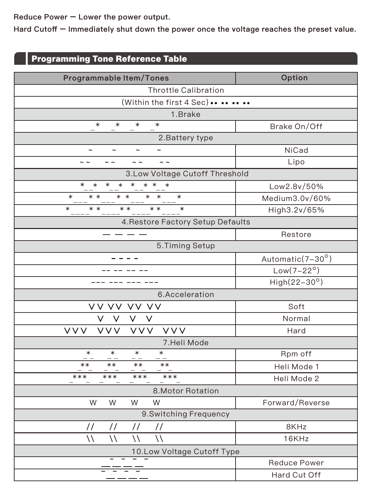Reduce Power – Lower the power output.

Hard Cutoff – Immediately shut down the power once the voltage reaches the preset value.

# **Programming Tone Reference Table**

| Programmable Item/Tones                                                      | Option              |  |  |  |  |  |
|------------------------------------------------------------------------------|---------------------|--|--|--|--|--|
| <b>Throttle Calibration</b>                                                  |                     |  |  |  |  |  |
| (Within the first 4 Sec)                                                     |                     |  |  |  |  |  |
| 1.Brake                                                                      |                     |  |  |  |  |  |
| $\ast$<br>$\ast$<br>$\ast$<br>$\ast$                                         | Brake On/Off        |  |  |  |  |  |
| 2. Battery type                                                              |                     |  |  |  |  |  |
| $\tilde{ }$<br>$\tilde{\phantom{a}}$<br>$\tilde{ }$<br>$\tilde{\phantom{a}}$ | NiCad               |  |  |  |  |  |
| $\sim$ $\sim$<br>$\sim$ $\sim$<br>$\sim$ $\sim$<br>$\sim$ $\sim$             | Lipo                |  |  |  |  |  |
| 3.Low Voltage Cutoff Threshold                                               |                     |  |  |  |  |  |
| $\ast$<br>$\ast$<br>$\ast$<br>$\ast$<br>* *<br>$\ast$                        | Low2.8v/50%         |  |  |  |  |  |
| $\overline{\ast}$<br>$\ast$<br>* *<br>$\ast$<br>* *                          | Medium3.0v/60%      |  |  |  |  |  |
| $* *$<br>$\ast$<br>$* *$<br>$* *$<br>$\ast$                                  | High3.2v/65%        |  |  |  |  |  |
| 4. Restore Factory Setup Defaults                                            |                     |  |  |  |  |  |
|                                                                              | Restore             |  |  |  |  |  |
| 5. Timing Setup                                                              |                     |  |  |  |  |  |
| - - - -                                                                      | Automatic(7-30°)    |  |  |  |  |  |
|                                                                              | $Low(7-22^{\circ})$ |  |  |  |  |  |
|                                                                              | $High(22-30°)$      |  |  |  |  |  |
| 6.Acceleration                                                               |                     |  |  |  |  |  |
| vv vv vv vv                                                                  | Soft                |  |  |  |  |  |
| $\vee$<br>V<br>V<br>V                                                        | Normal              |  |  |  |  |  |
| <b>VVV</b><br><b>VVV</b><br><b>VVV</b><br><b>VVV</b>                         | Hard                |  |  |  |  |  |
| 7.Heli Mode                                                                  |                     |  |  |  |  |  |
| $\ast$<br>$\ast$<br>$\ast$<br>$\ast$                                         | Rpm off             |  |  |  |  |  |
| $***$<br>$***$<br>$***$<br>$***$                                             | Heli Mode 1         |  |  |  |  |  |
| ***<br>***<br>***<br>***                                                     | Heli Mode 2         |  |  |  |  |  |
| 8. Motor Rotation                                                            |                     |  |  |  |  |  |
| W<br>W<br>W<br>W                                                             | Forward/Reverse     |  |  |  |  |  |
| 9.Switching Frequency                                                        |                     |  |  |  |  |  |
| $\frac{1}{2}$<br>$\frac{1}{2}$<br>$\frac{1}{2}$<br>$\frac{1}{2}$             | 8KHz                |  |  |  |  |  |
| $\sqrt{}$<br>$\backslash$<br>۱۱<br>١١                                        | 16KHz               |  |  |  |  |  |
| 10.Low Voltage Cutoff Type                                                   |                     |  |  |  |  |  |
|                                                                              | Reduce Power        |  |  |  |  |  |
|                                                                              | Hard Cut Off        |  |  |  |  |  |